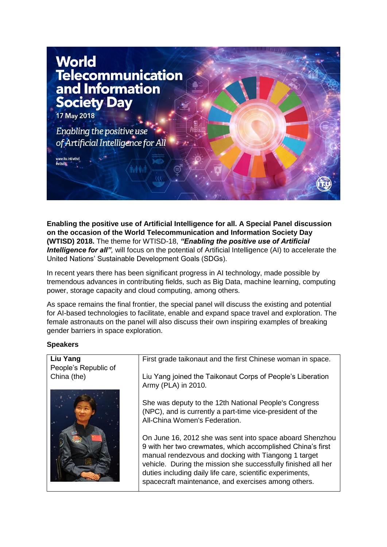

**Enabling the positive use of Artificial Intelligence for all. A Special Panel discussion on the occasion of the World Telecommunication and Information Society Day (WTISD) 2018.** The theme for WTISD-18, *"Enabling the positive use of Artificial Intelligence for all"*, will focus on the potential of Artificial Intelligence (AI) to accelerate the United Nations' Sustainable Development Goals (SDGs).

In recent years there has been significant progress in AI technology, made possible by tremendous advances in contributing fields, such as Big Data, machine learning, computing power, storage capacity and cloud computing, among others.

As space remains the final frontier, the special panel will discuss the existing and potential for AI-based technologies to facilitate, enable and expand space travel and exploration. The female astronauts on the panel will also discuss their own inspiring examples of breaking gender barriers in space exploration.

#### **Speakers**

| Liu Yang             | First grade taikonaut and the first Chinese woman in space.                                                                                                                                                                                                                                                                                                         |
|----------------------|---------------------------------------------------------------------------------------------------------------------------------------------------------------------------------------------------------------------------------------------------------------------------------------------------------------------------------------------------------------------|
| People's Republic of |                                                                                                                                                                                                                                                                                                                                                                     |
|                      |                                                                                                                                                                                                                                                                                                                                                                     |
| China (the)          | Liu Yang joined the Taikonaut Corps of People's Liberation                                                                                                                                                                                                                                                                                                          |
|                      | Army (PLA) in 2010.                                                                                                                                                                                                                                                                                                                                                 |
|                      | She was deputy to the 12th National People's Congress<br>(NPC), and is currently a part-time vice-president of the<br>All-China Women's Federation.                                                                                                                                                                                                                 |
|                      | On June 16, 2012 she was sent into space aboard Shenzhou<br>9 with her two crewmates, which accomplished China's first<br>manual rendezvous and docking with Tiangong 1 target<br>vehicle. During the mission she successfully finished all her<br>duties including daily life care, scientific experiments,<br>spacecraft maintenance, and exercises among others. |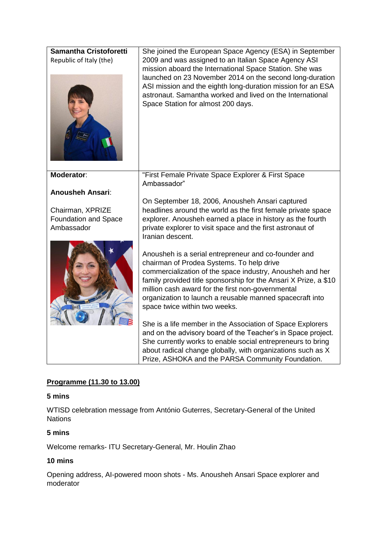

# **Programme (11.30 to 13.00)**

#### **5 mins**

WTISD celebration message from António Guterres, Secretary-General of the United **Nations** 

# **5 mins**

Welcome remarks- ITU Secretary-General, Mr. Houlin Zhao

# **10 mins**

Opening address, AI-powered moon shots - Ms. Anousheh Ansari Space explorer and moderator